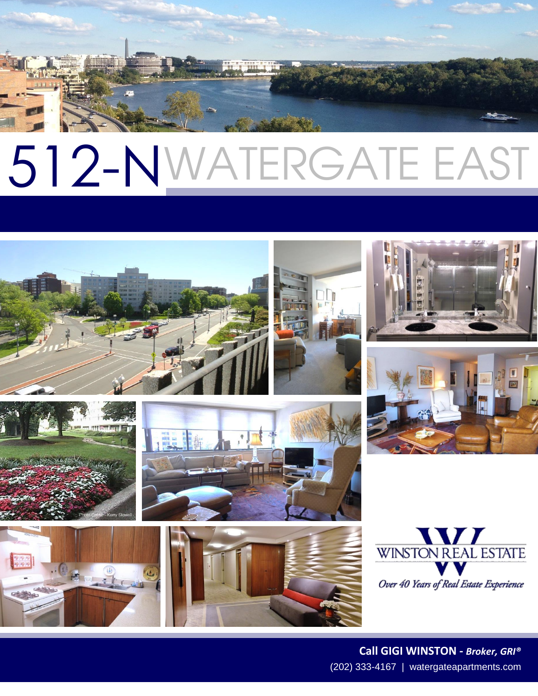# 512-N WATERGATE EAST



















(202) 333-4167 | watergateapartments.com **Call GIGI WINSTON -** *Broker, GRI®*